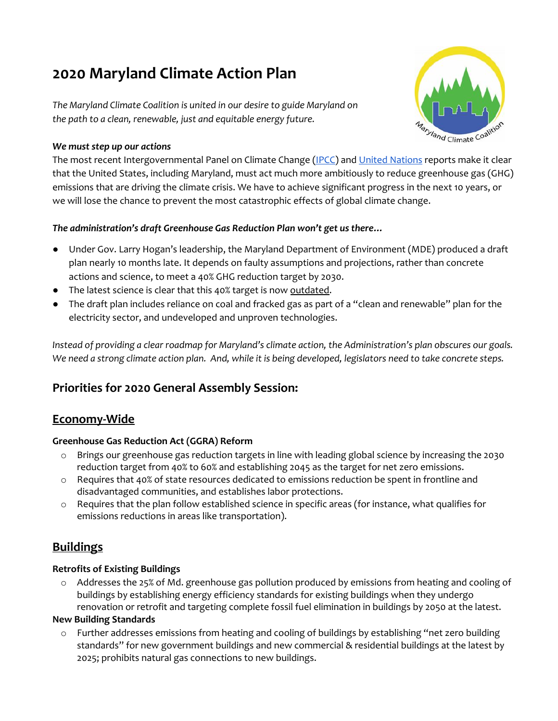# **2020 Maryland Climate Action Plan**

*The Maryland Climate Coalition is united in our desire to guide Maryland on the path to a clean, renewable, just and equitable energy future.*



#### *We must step up our actions*

The most recent Intergovernmental Panel on Climate Change [\(IPCC\)](https://www.ipcc.ch/reports/) and United [Nations](https://www.unenvironment.org/) reports make it clear that the United States, including Maryland, must act much more ambitiously to reduce greenhouse gas (GHG) emissions that are driving the climate crisis. We have to achieve significant progress in the next 10 years, or we will lose the chance to prevent the most catastrophic effects of global climate change.

## *The administration's draft Greenhouse Gas Reduction Plan won't get us there…*

- Under Gov. Larry Hogan's leadership, the Maryland Department of Environment (MDE) produced a draft plan nearly 10 months late. It depends on faulty assumptions and projections, rather than concrete actions and science, to meet a 40% GHG reduction target by 2030.
- The latest science is clear that this 40% target is now outdated.
- The draft plan includes reliance on coal and fracked gas as part of a "clean and renewable" plan for the electricity sector, and undeveloped and unproven technologies.

Instead of providing a clear roadmap for Maryland's climate action, the Administration's plan obscures our goals. We need a strong climate action plan. And, while it is being developed, legislators need to take concrete steps.

# **Priorities for 2020 General Assembly Session:**

# **Economy-Wide**

## **Greenhouse Gas Reduction Act (GGRA) Reform**

- o Brings our greenhouse gas reduction targets in line with leading global science by increasing the 2030 reduction target from 40% to 60% and establishing 2045 as the target for net zero emissions.
- o Requires that 40% of state resources dedicated to emissions reduction be spent in frontline and disadvantaged communities, and establishes labor protections.
- $\circ$  Requires that the plan follow established science in specific areas (for instance, what qualifies for emissions reductions in areas like transportation).

# **Buildings**

## **Retrofits of Existing Buildings**

o Addresses the 25% of Md. greenhouse gas pollution produced by emissions from heating and cooling of buildings by establishing energy efficiency standards for existing buildings when they undergo renovation or retrofit and targeting complete fossil fuel elimination in buildings by 2050 at the latest.

## **New Building Standards**

o Further addresses emissions from heating and cooling of buildings by establishing "net zero building standards" for new government buildings and new commercial & residential buildings at the latest by 2025; prohibits natural gas connections to new buildings.